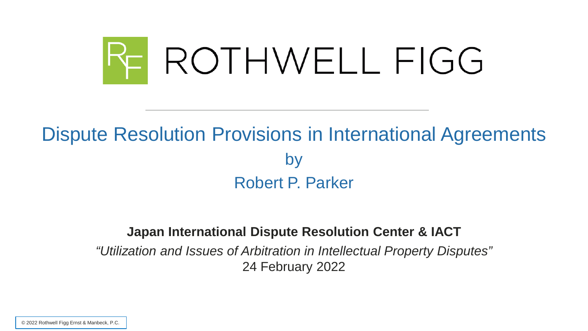

## Dispute Resolution Provisions in International Agreements by Robert P. Parker

#### **Japan International Dispute Resolution Center & IACT**

*"Utilization and Issues of Arbitration in Intellectual Property Disputes"* 24 February 2022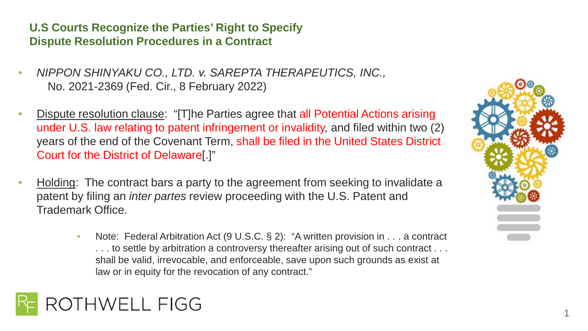**U.S Courts Recognize the Parties' Right to Specify Dispute Resolution Procedures in a Contract**

- *NIPPON SHINYAKU CO., LTD. v. SAREPTA THERAPEUTICS, INC.,*  No. 2021-2369 (Fed. Cir., 8 February 2022)
- Dispute resolution clause: "[T]he Parties agree that all Potential Actions arising under U.S. law relating to patent infringement or invalidity, and filed within two (2) years of the end of the Covenant Term, shall be filed in the United States District Court for the District of Delaware[.]"
- Holding: The contract bars a party to the agreement from seeking to invalidate a patent by filing an *inter partes* review proceeding with the U.S. Patent and Trademark Office.
	- Note: Federal Arbitration Act (9 U.S.C. § 2): "A written provision in . . . a contract ... to settle by arbitration a controversy thereafter arising out of such contract ... shall be valid, irrevocable, and enforceable, save upon such grounds as exist at law or in equity for the revocation of any contract."



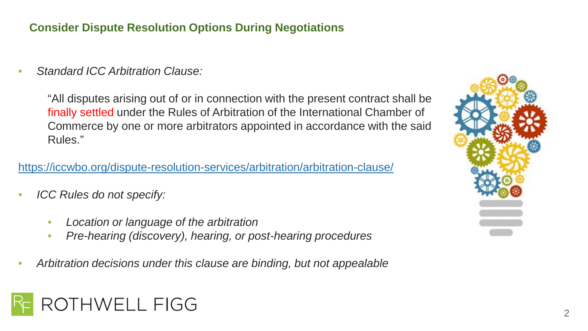#### **Consider Dispute Resolution Options During Negotiations**

• *Standard ICC Arbitration Clause:* 

"All disputes arising out of or in connection with the present contract shall be finally settled under the Rules of Arbitration of the International Chamber of Commerce by one or more arbitrators appointed in accordance with the said Rules."

#### <https://iccwbo.org/dispute-resolution-services/arbitration/arbitration-clause/>

- *ICC Rules do not specify:*
	- *Location or language of the arbitration*
	- *Pre-hearing (discovery), hearing, or post-hearing procedures*
- *Arbitration decisions under this clause are binding, but not appealable*



## **THWELL FIGG**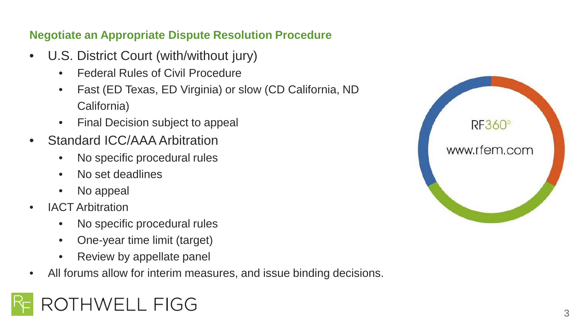#### **Negotiate an Appropriate Dispute Resolution Procedure**

- U.S. District Court (with/without jury)
	- Federal Rules of Civil Procedure
	- Fast (ED Texas, ED Virginia) or slow (CD California, ND California)
	- Final Decision subject to appeal
- Standard ICC/AAA Arbitration
	- No specific procedural rules
	- No set deadlines
	- No appeal
- IACT Arbitration
	- No specific procedural rules
	- One-year time limit (target)
	- Review by appellate panel
- All forums allow for interim measures, and issue binding decisions.

# **HWELL FIGG**

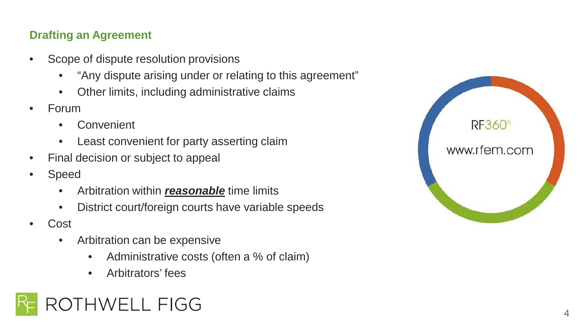#### **Drafting an Agreement**

- Scope of dispute resolution provisions
	- "Any dispute arising under or relating to this agreement"
	- Other limits, including administrative claims
- Forum
	- Convenient
	- Least convenient for party asserting claim
- Final decision or subject to appeal
- **Speed** 
	- Arbitration within *reasonable* time limits
	- District court/foreign courts have variable speeds
- Cost
	- Arbitration can be expensive
		- Administrative costs (often a % of claim)
		- Arbitrators' fees



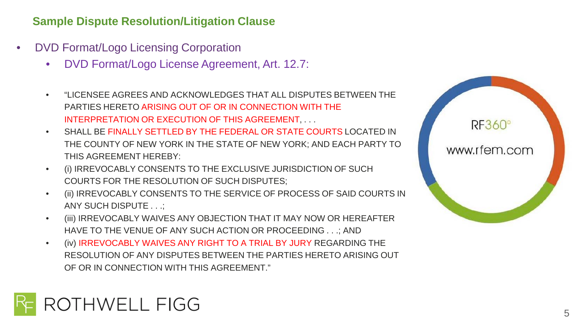#### **Sample Dispute Resolution/Litigation Clause**

- DVD Format/Logo Licensing Corporation
	- DVD Format/Logo License Agreement, Art. 12.7:
	- "LICENSEE AGREES AND ACKNOWLEDGES THAT ALL DISPUTES BETWEEN THE PARTIES HERETO ARISING OUT OF OR IN CONNECTION WITH THE INTERPRETATION OR EXECUTION OF THIS AGREEMENT, . . .
	- SHALL BE FINALLY SETTLED BY THE FEDERAL OR STATE COURTS LOCATED IN THE COUNTY OF NEW YORK IN THE STATE OF NEW YORK; AND EACH PARTY TO THIS AGREEMENT HEREBY:
	- (i) IRREVOCABLY CONSENTS TO THE EXCLUSIVE JURISDICTION OF SUCH COURTS FOR THE RESOLUTION OF SUCH DISPUTES;
	- (ii) IRREVOCABLY CONSENTS TO THE SERVICE OF PROCESS OF SAID COURTS IN ANY SUCH DISPUTE . . .;
	- (iii) IRREVOCABLY WAIVES ANY OBJECTION THAT IT MAY NOW OR HEREAFTER HAVE TO THE VENUE OF ANY SUCH ACTION OR PROCEEDING . . .; AND
	- (iv) IRREVOCABLY WAIVES ANY RIGHT TO A TRIAL BY JURY REGARDING THE RESOLUTION OF ANY DISPUTES BETWEEN THE PARTIES HERETO ARISING OUT OF OR IN CONNECTION WITH THIS AGREEMENT."



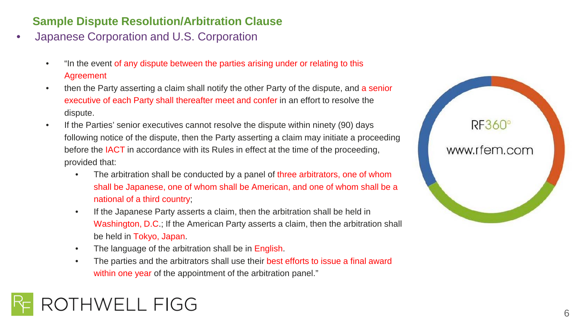#### **Sample Dispute Resolution/Arbitration Clause**

- Japanese Corporation and U.S. Corporation
	- "In the event of any dispute between the parties arising under or relating to this Agreement
	- then the Party asserting a claim shall notify the other Party of the dispute, and a senior executive of each Party shall thereafter meet and confer in an effort to resolve the dispute.
	- If the Parties' senior executives cannot resolve the dispute within ninety (90) days following notice of the dispute, then the Party asserting a claim may initiate a proceeding before the IACT in accordance with its Rules in effect at the time of the proceeding, provided that:
		- The arbitration shall be conducted by a panel of three arbitrators, one of whom shall be Japanese, one of whom shall be American, and one of whom shall be a national of a third country;
		- If the Japanese Party asserts a claim, then the arbitration shall be held in Washington, D.C.; If the American Party asserts a claim, then the arbitration shall be held in Tokyo, Japan.
		- The language of the arbitration shall be in English.
		- The parties and the arbitrators shall use their best efforts to issue a final award within one year of the appointment of the arbitration panel."

# THWELL FIGG